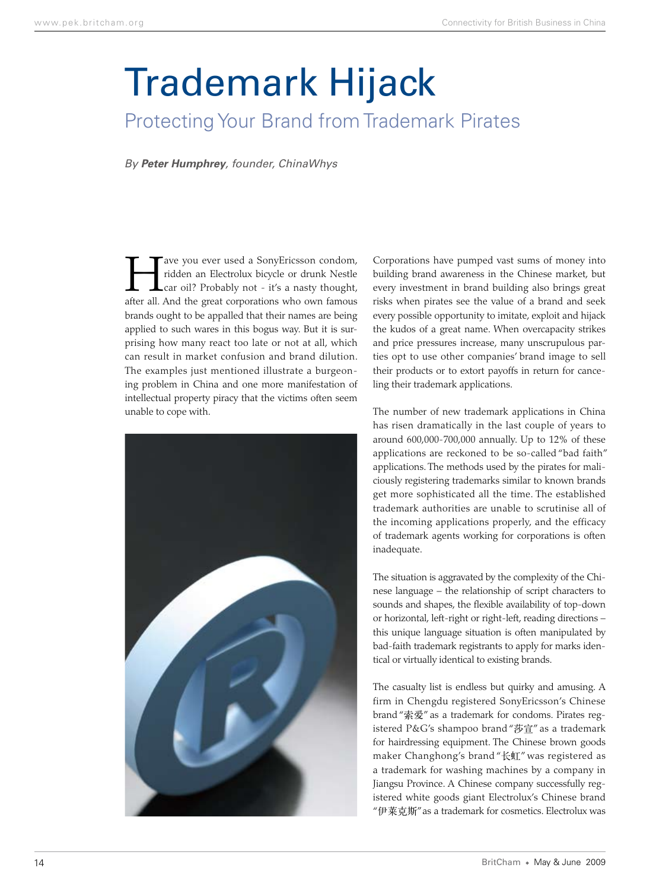## Trademark Hijack

## Protecting Your Brand from Trademark Pirates

*By Peter Humphrey, founder, ChinaWhys*

Tave you ever used a SonyEricsson condom,<br>ridden an Electrolux bicycle or drunk Nestle<br>car oil? Probably not - it's a nasty thought, ridden an Electrolux bicycle or drunk Nestle car oil? Probably not - it's a nasty thought, after all. And the great corporations who own famous brands ought to be appalled that their names are being applied to such wares in this bogus way. But it is surprising how many react too late or not at all, which can result in market confusion and brand dilution. The examples just mentioned illustrate a burgeoning problem in China and one more manifestation of intellectual property piracy that the victims often seem unable to cope with.



Corporations have pumped vast sums of money into building brand awareness in the Chinese market, but every investment in brand building also brings great risks when pirates see the value of a brand and seek every possible opportunity to imitate, exploit and hijack the kudos of a great name. When overcapacity strikes and price pressures increase, many unscrupulous parties opt to use other companies' brand image to sell their products or to extort payoffs in return for canceling their trademark applications.

The number of new trademark applications in China has risen dramatically in the last couple of years to around 600,000-700,000 annually. Up to 12% of these applications are reckoned to be so-called "bad faith" applications. The methods used by the pirates for maliciously registering trademarks similar to known brands get more sophisticated all the time. The established trademark authorities are unable to scrutinise all of the incoming applications properly, and the efficacy of trademark agents working for corporations is often inadequate.

The situation is aggravated by the complexity of the Chinese language – the relationship of script characters to sounds and shapes, the flexible availability of top-down or horizontal, left-right or right-left, reading directions – this unique language situation is often manipulated by bad-faith trademark registrants to apply for marks identical or virtually identical to existing brands.

The casualty list is endless but quirky and amusing. A firm in Chengdu registered SonyEricsson's Chinese brand "索爱" as a trademark for condoms. Pirates registered P&G's shampoo brand "莎宣" as a trademark for hairdressing equipment. The Chinese brown goods maker Changhong's brand "长虹" was registered as a trademark for washing machines by a company in Jiangsu Province. A Chinese company successfully registered white goods giant Electrolux's Chinese brand "伊莱克斯" as a trademark for cosmetics. Electrolux was